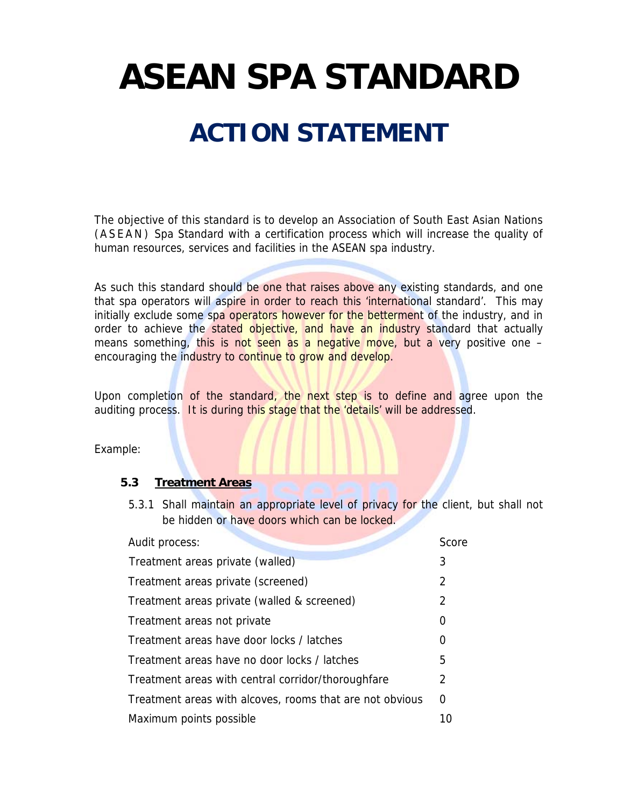# **ASEAN SPA STANDARD**

# **ACTION STATEMENT**

The objective of this standard is to develop an Association of South East Asian Nations (ASEAN) Spa Standard with a certification process which will increase the quality of human resources, services and facilities in the ASEAN spa industry.

As such this standard should be one that raises above any existing standards, and one that spa operators will aspire in order to reach this 'international standard'. This may initially exclude some spa operators however for the betterment of the industry, and in order to achieve the stated objective, and have an industry standard that actually means something, this is not seen as a negative move, but a very positive one – encouraging the industry to continue to grow and develop.

Upon completion of the standard, the next step is to define and agree upon the auditing process. It is during this stage that the 'details' will be addressed.

Example:

#### **5.3 Treatment Areas**

5.3.1 Shall maintain an appropriate level of privacy for the client, but shall not be hidden or have doors which can be locked.

| Audit process:                                           | Score         |
|----------------------------------------------------------|---------------|
| Treatment areas private (walled)                         | 3             |
| Treatment areas private (screened)                       | 2             |
| Treatment areas private (walled & screened)              | 2             |
| Treatment areas not private                              | 0             |
| Treatment areas have door locks / latches                | 0             |
| Treatment areas have no door locks / latches             | 5             |
| Treatment areas with central corridor/thoroughfare       | $\mathcal{P}$ |
| Treatment areas with alcoves, rooms that are not obvious | 0             |
| Maximum points possible                                  | 10            |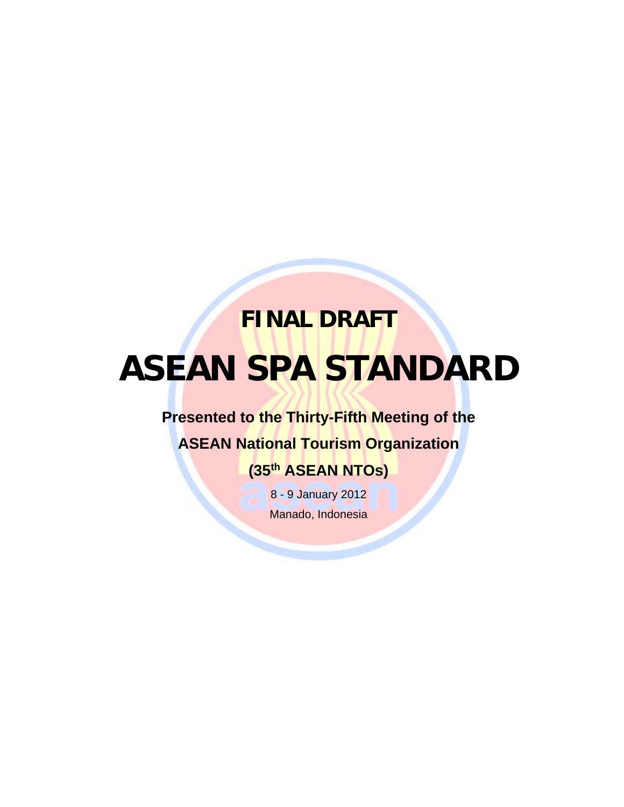# **FINAL DRAFT ASEAN SPA STANDARD**

### **Presented to the Thirty-Fifth Meeting of the**

**ASEAN National Tourism Organization** 

### **(35th ASEAN NTOs)**

8 - 9 January 2012

Manado, Indonesia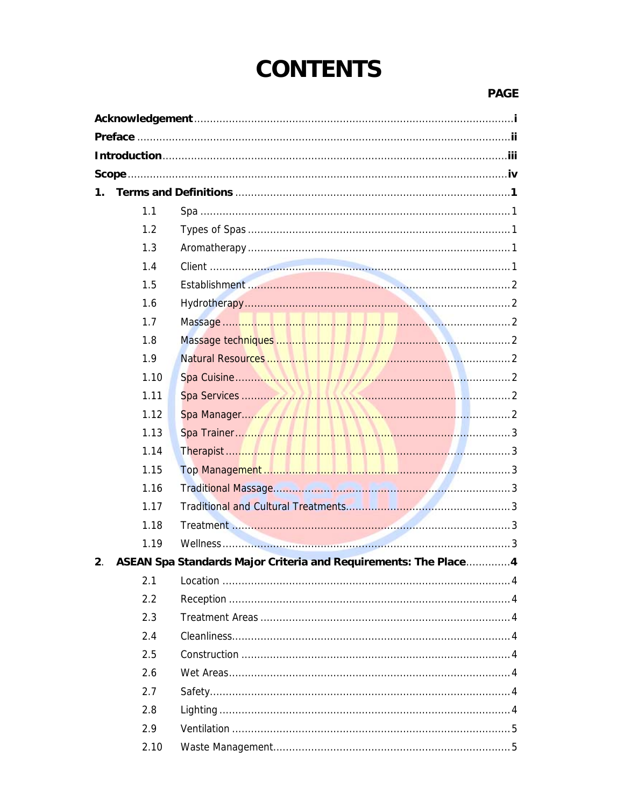# **CONTENTS**

| 1.             |      |                                                                 |
|----------------|------|-----------------------------------------------------------------|
|                | 1.1  |                                                                 |
|                | 1.2  |                                                                 |
|                | 1.3  |                                                                 |
|                | 1.4  |                                                                 |
|                | 1.5  |                                                                 |
|                | 1.6  |                                                                 |
|                | 1.7  |                                                                 |
|                | 1.8  |                                                                 |
|                | 1.9  |                                                                 |
|                | 1.10 |                                                                 |
|                | 1.11 |                                                                 |
|                | 1.12 |                                                                 |
|                | 1.13 |                                                                 |
|                | 1.14 |                                                                 |
|                | 1.15 |                                                                 |
|                | 1.16 |                                                                 |
|                | 1.17 |                                                                 |
|                | 1.18 |                                                                 |
|                | 1.19 |                                                                 |
| 2 <sub>1</sub> |      | ASEAN Spa Standards Major Criteria and Requirements: The Place4 |
|                | 2.1  |                                                                 |
|                | 2.2  |                                                                 |
|                | 2.3  |                                                                 |
|                | 2.4  |                                                                 |
|                | 2.5  |                                                                 |
|                | 2.6  |                                                                 |
|                | 2.7  |                                                                 |
|                | 2.8  |                                                                 |
|                | 2.9  |                                                                 |
|                | 2.10 |                                                                 |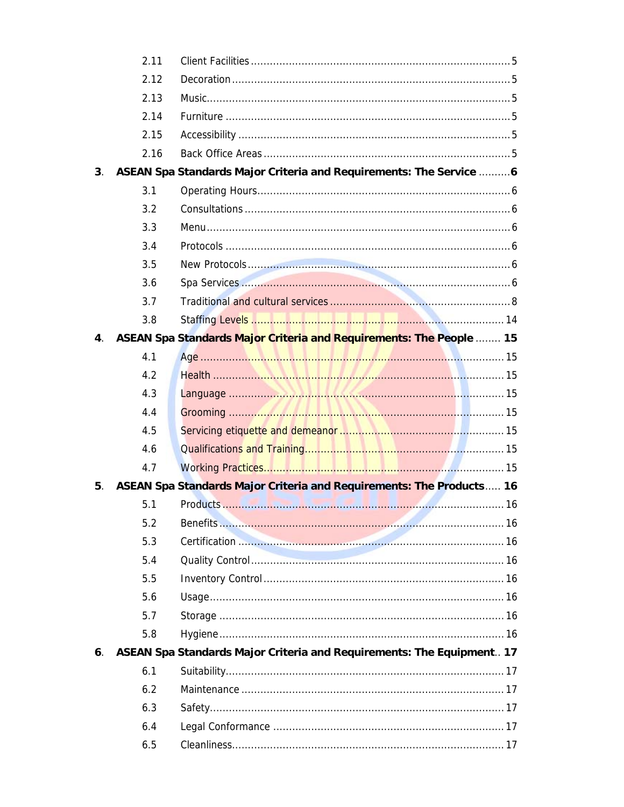|                | 2.11 |                                                                       |  |
|----------------|------|-----------------------------------------------------------------------|--|
|                | 2.12 |                                                                       |  |
|                | 2.13 |                                                                       |  |
|                | 2.14 |                                                                       |  |
|                | 2.15 |                                                                       |  |
|                | 2.16 |                                                                       |  |
| 3.             |      | ASEAN Spa Standards Major Criteria and Requirements: The Service 6    |  |
|                | 3.1  |                                                                       |  |
|                | 3.2  |                                                                       |  |
|                | 3.3  |                                                                       |  |
|                | 3.4  |                                                                       |  |
|                | 3.5  |                                                                       |  |
|                | 3.6  |                                                                       |  |
|                | 3.7  |                                                                       |  |
|                | 3.8  |                                                                       |  |
| 4 <sub>1</sub> |      | ASEAN Spa Standards Major Criteria and Requirements: The People  15   |  |
|                | 4.1  |                                                                       |  |
|                | 4.2  |                                                                       |  |
|                | 4.3  |                                                                       |  |
|                | 4.4  |                                                                       |  |
|                | 4.5  |                                                                       |  |
|                | 4.6  |                                                                       |  |
|                | 4.7  |                                                                       |  |
| 5.             |      | ASEAN Spa Standards Major Criteria and Requirements: The Products 16  |  |
|                | 5.1  |                                                                       |  |
|                | 5.2  |                                                                       |  |
|                | 5.3  |                                                                       |  |
|                | 5.4  |                                                                       |  |
|                | 5.5  |                                                                       |  |
|                | 5.6  |                                                                       |  |
|                | 5.7  |                                                                       |  |
|                | 5.8  |                                                                       |  |
| 6.             |      | ASEAN Spa Standards Major Criteria and Requirements: The Equipment 17 |  |
|                | 6.1  |                                                                       |  |
|                | 6.2  |                                                                       |  |
|                | 6.3  |                                                                       |  |
|                | 6.4  |                                                                       |  |
|                | 6.5  |                                                                       |  |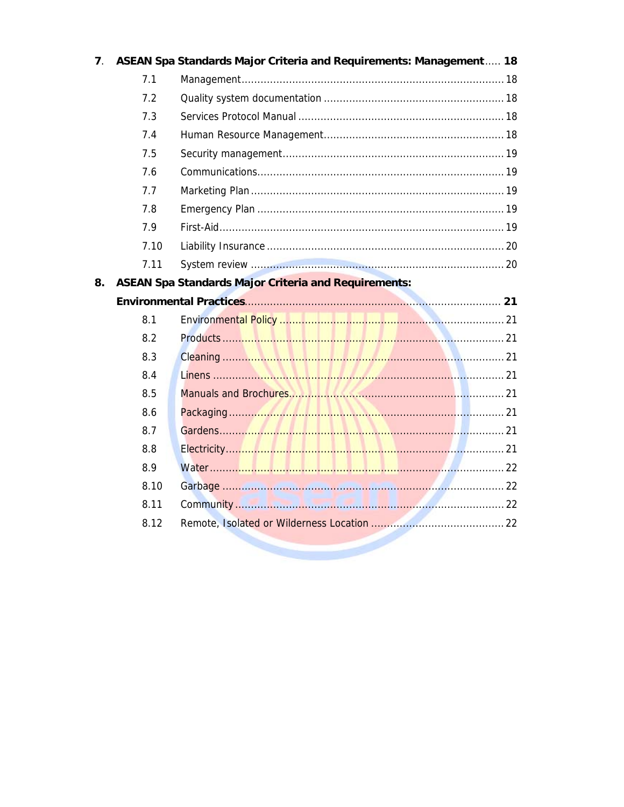| $\overline{7}$ . |      | ASEAN Spa Standards Major Criteria and Requirements: Management 18 |  |
|------------------|------|--------------------------------------------------------------------|--|
|                  | 7.1  |                                                                    |  |
|                  | 7.2  |                                                                    |  |
|                  | 7.3  |                                                                    |  |
|                  | 7.4  |                                                                    |  |
|                  | 7.5  |                                                                    |  |
|                  | 7.6  |                                                                    |  |
|                  | 7.7  |                                                                    |  |
|                  | 7.8  |                                                                    |  |
|                  | 7.9  |                                                                    |  |
|                  | 7.10 |                                                                    |  |
|                  | 7.11 |                                                                    |  |
| 8.               |      | <b>ASEAN Spa Standards Major Criteria and Requirements:</b>        |  |
|                  |      |                                                                    |  |
|                  | 8.1  |                                                                    |  |
|                  | 8.2  |                                                                    |  |
|                  | 8.3  |                                                                    |  |
|                  | 8.4  |                                                                    |  |
|                  | 8.5  |                                                                    |  |
|                  | 8.6  |                                                                    |  |
|                  | 8.7  |                                                                    |  |
|                  | 8.8  |                                                                    |  |
|                  | 8.9  |                                                                    |  |
|                  | 8.10 |                                                                    |  |
|                  | 8.11 |                                                                    |  |
|                  | 8.12 |                                                                    |  |
|                  |      |                                                                    |  |
|                  |      |                                                                    |  |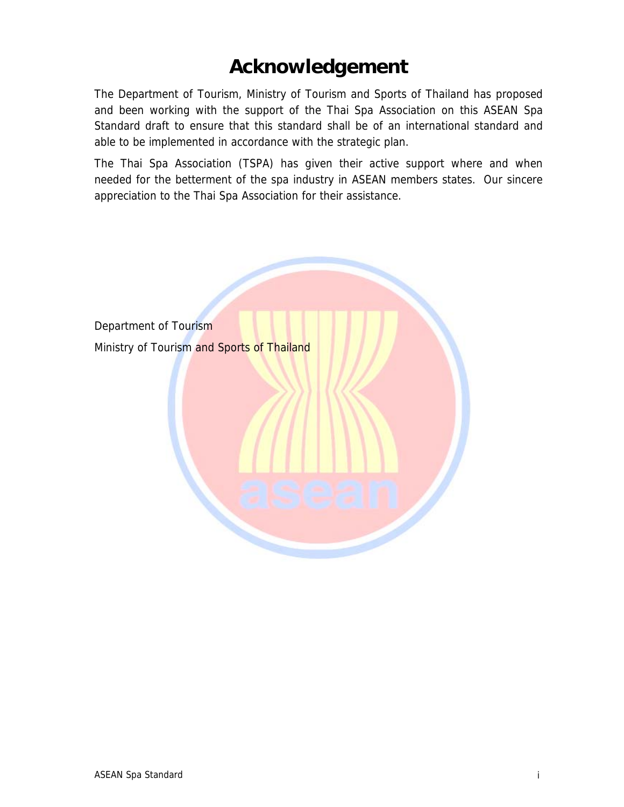### **Acknowledgement**

The Department of Tourism, Ministry of Tourism and Sports of Thailand has proposed and been working with the support of the Thai Spa Association on this ASEAN Spa Standard draft to ensure that this standard shall be of an international standard and able to be implemented in accordance with the strategic plan.

The Thai Spa Association (TSPA) has given their active support where and when needed for the betterment of the spa industry in ASEAN members states. Our sincere appreciation to the Thai Spa Association for their assistance.

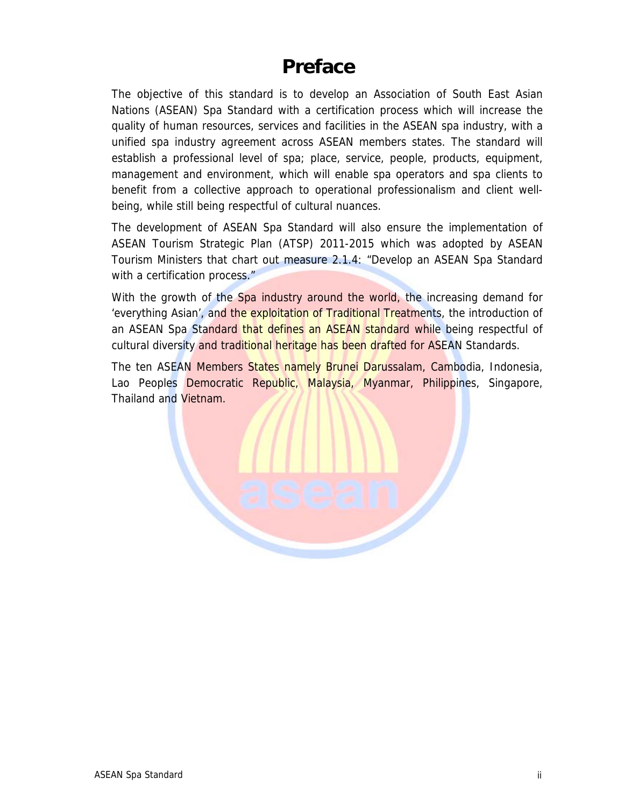### **Preface**

The objective of this standard is to develop an Association of South East Asian Nations (ASEAN) Spa Standard with a certification process which will increase the quality of human resources, services and facilities in the ASEAN spa industry, with a unified spa industry agreement across ASEAN members states. The standard will establish a professional level of spa; place, service, people, products, equipment, management and environment, which will enable spa operators and spa clients to benefit from a collective approach to operational professionalism and client wellbeing, while still being respectful of cultural nuances.

The development of ASEAN Spa Standard will also ensure the implementation of ASEAN Tourism Strategic Plan (ATSP) 2011-2015 which was adopted by ASEAN Tourism Ministers that chart out measure 2.1.4: "Develop an ASEAN Spa Standard with a certification process."

With the growth of the Spa industry around the world, the increasing demand for 'everything Asian', and the exploitation of Traditional Treatments, the introduction of an ASEAN Spa Standard that defines an ASEAN standard while being respectful of cultural diversity and traditional heritage has been drafted for ASEAN Standards.

The ten ASEAN Members States namely Brunei Darussalam, Cambodia, Indonesia, Lao Peoples Democratic Republic, Malaysia, Myanmar, Philippines, Singapore, Thailand and Vietnam.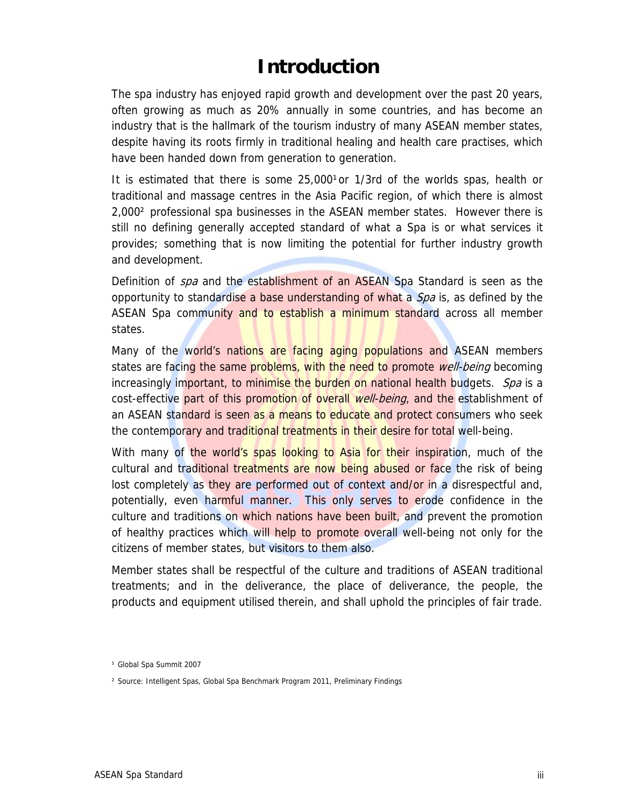### **Introduction**

The spa industry has enjoyed rapid growth and development over the past 20 years, often growing as much as 20% annually in some countries, and has become an industry that is the hallmark of the tourism industry of many ASEAN member states, despite having its roots firmly in traditional healing and health care practises, which have been handed down from generation to generation.

It is estimated that there is some 25,000<sup>1</sup>or 1/3rd of the worlds spas, health or traditional and massage centres in the Asia Pacific region, of which there is almost 2,000² professional spa businesses in the ASEAN member states. However there is still no defining generally accepted standard of what a Spa is or what services it provides; something that is now limiting the potential for further industry growth and development.

Definition of *spa* and the establishment of an ASEAN Spa Standard is seen as the opportunity to standardise a base understanding of what a *Spa* is, as defined by the ASEAN Spa community and to establish a minimum standard across all member states.

Many of the world's nations are facing aging populations and ASEAN members states are facing the same problems, with the need to promote well-being becoming increasingly important, to minimise the burden on national health budgets. Spa is a cost-effective part of this promotion of overall well-being, and the establishment of an ASEAN standard is seen as a means to educate and protect consumers who seek the contemporary and traditional treatments in their desire for total well-being.

With many of the world's spas looking to Asia for their inspiration, much of the cultural and traditional treatments are now being abused or face the risk of being lost completely as they are performed out of context and/or in a disrespectful and, potentially, even harmful manner. This only serves to erode confidence in the culture and traditions on which nations have been built, and prevent the promotion of healthy practices which will help to promote overall well-being not only for the citizens of member states, but visitors to them also.

Member states shall be respectful of the culture and traditions of ASEAN traditional treatments; and in the deliverance, the place of deliverance, the people, the products and equipment utilised therein, and shall uphold the principles of fair trade.

<sup>&</sup>lt;sup>1</sup> Global Spa Summit 2007

² Source: Intelligent Spas, Global Spa Benchmark Program 2011, Preliminary Findings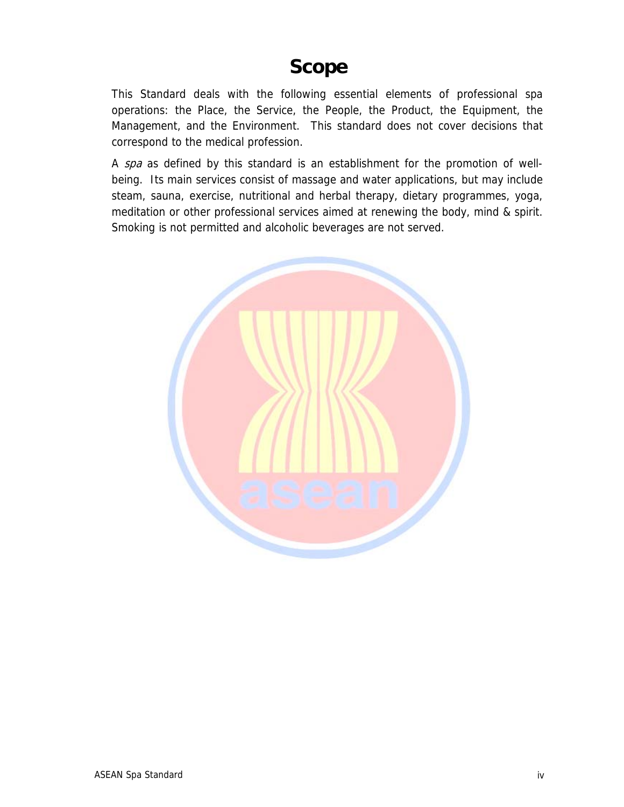### **Scope**

This Standard deals with the following essential elements of professional spa operations: the Place, the Service, the People, the Product, the Equipment, the Management, and the Environment. This standard does not cover decisions that correspond to the medical profession.

A spa as defined by this standard is an establishment for the promotion of wellbeing. Its main services consist of massage and water applications, but may include steam, sauna, exercise, nutritional and herbal therapy, dietary programmes, yoga, meditation or other professional services aimed at renewing the body, mind & spirit. Smoking is not permitted and alcoholic beverages are not served.

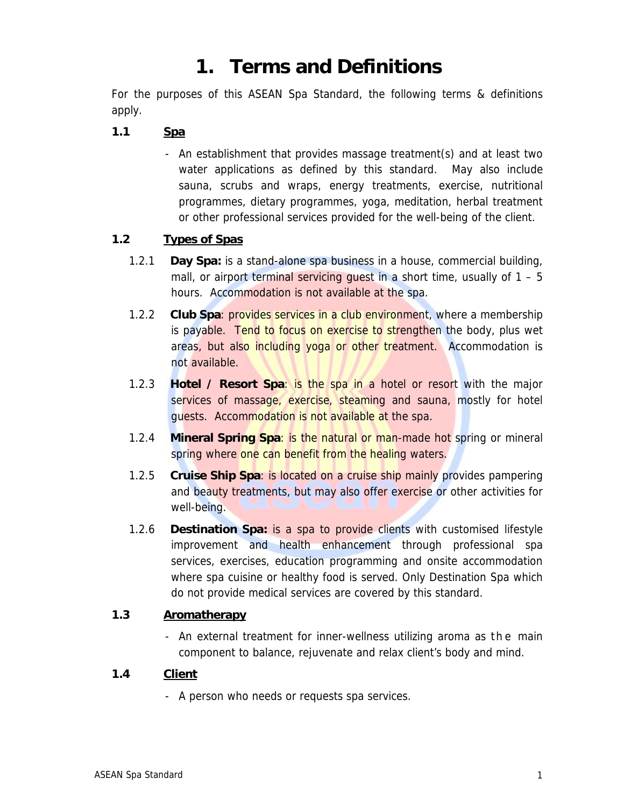## **1. Terms and Definitions**

For the purposes of this ASEAN Spa Standard, the following terms & definitions apply.

#### **1.1 Spa**

- An establishment that provides massage treatment(s) and at least two water applications as defined by this standard. May also include sauna, scrubs and wraps, energy treatments, exercise, nutritional programmes, dietary programmes, yoga, meditation, herbal treatment or other professional services provided for the well-being of the client.

#### **1.2 Types of Spas**

- 1.2.1 **Day Spa:** is a stand-alone spa business in a house, commercial building, mall, or airport terminal servicing guest in a short time, usually of  $1 - 5$ hours. Accommodation is not available at the spa.
- 1.2.2 **Club Spa**: provides services in a club environment, where a membership is payable. Tend to focus on exercise to strengthen the body, plus wet areas, but also including yoga or other treatment. Accommodation is not available.
- 1.2.3 **Hotel / Resort Spa**: is the spa in a hotel or resort with the major services of massage, exercise, steaming and sauna, mostly for hotel guests. Accommodation is not available at the spa.
- 1.2.4 **Mineral Spring Spa**: is the natural or man-made hot spring or mineral spring where one can benefit from the healing waters.
- 1.2.5 **Cruise Ship Spa**: is located on a cruise ship mainly provides pampering and beauty treatments, but may also offer exercise or other activities for well-being.
- 1.2.6 **Destination Spa:** is a spa to provide clients with customised lifestyle improvement and health enhancement through professional spa services, exercises, education programming and onsite accommodation where spa cuisine or healthy food is served. Only Destination Spa which do not provide medical services are covered by this standard.

#### **1.3 Aromatherapy**

- An external treatment for inner-wellness utilizing aroma as th e main component to balance, rejuvenate and relax client's body and mind.

#### **1.4 Client**

- A person who needs or requests spa services.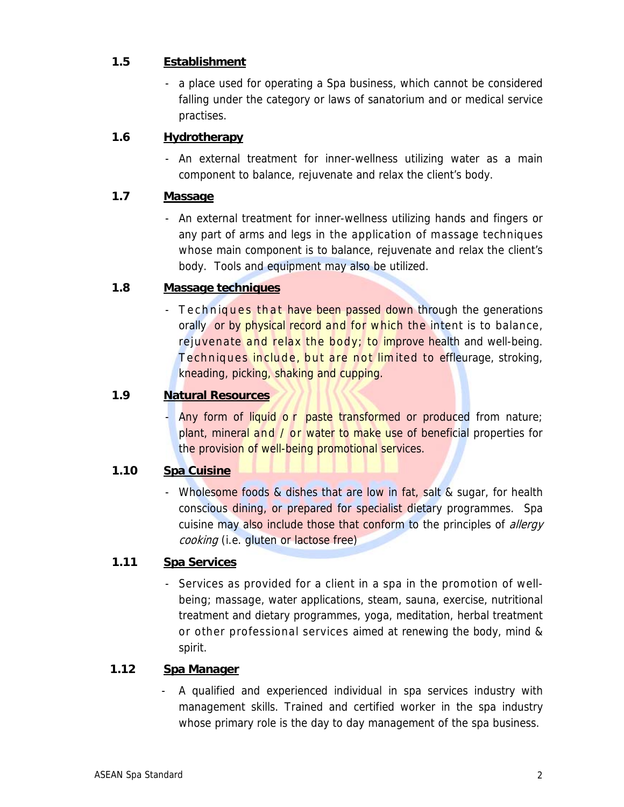#### **1.5 Establishment**

- a place used for operating a Spa business, which cannot be considered falling under the category or laws of sanatorium and or medical service practises.

#### **1.6 Hydrotherapy**

- An external treatment for inner-wellness utilizing water as a main component to balance, rejuvenate and relax the client's body.

#### **1.7 Massage**

- An external treatment for inner-wellness utilizing hands and fingers or any part of arms and legs in the application of massage techniques whose main component is to balance, rejuvenate and relax the client's body. Tools and equipment may also be utilized.

#### **1.8 Massage techniques**

- Techniques that have been passed down through the generations orally or by physical record and for which the intent is to balance, rejuvenate and relax the body; to improve health and well-being. Techniques include, but are not lim ited to effleurage, stroking, kneading, picking, shaking and cupping.

#### **1.9 Natural Resources**

- Any form of liquid o r paste transformed or produced from nature; plant, mineral and / or water to make use of beneficial properties for the provision of well-being promotional services.

#### **1.10 Spa Cuisine**

- Wholesome foods & dishes that are low in fat, salt & sugar, for health conscious dining, or prepared for specialist dietary programmes. Spa cuisine may also include those that conform to the principles of *allergy* cooking (i.e. gluten or lactose free)

#### **1.11 Spa Services**

- Services as provided for a client in a spa in the promotion of wellbeing; massage, water applications, steam, sauna, exercise, nutritional treatment and dietary programmes, yoga, meditation, herbal treatment or other professional services aimed at renewing the body, mind & spirit.

#### **1.12 Spa Manager**

- A qualified and experienced individual in spa services industry with management skills. Trained and certified worker in the spa industry whose primary role is the day to day management of the spa business.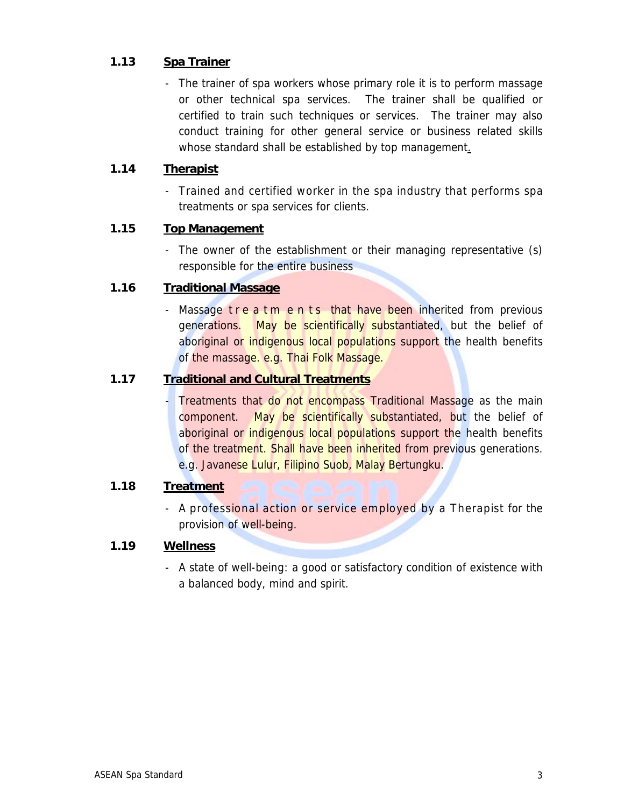#### **1.13 Spa Trainer**

- The trainer of spa workers whose primary role it is to perform massage or other technical spa services. The trainer shall be qualified or certified to train such techniques or services. The trainer may also conduct training for other general service or business related skills whose standard shall be established by top management.

#### **1.14 Therapist**

- Trained and certified worker in the spa industry that performs spa treatments or spa services for clients.

#### **1.15 Top Management**

- The owner of the establishment or their managing representative (s) responsible for the entire business

#### **1.16 Traditional Massage**

- Massage treatments that have been inherited from previous generations. May be scientifically substantiated, but the belief of aboriginal or indigenous local populations support the health benefits of the massage. e.g. Thai Folk Massage.

#### **1.17 Traditional and Cultural Treatments**

- Treatments that do not encompass Traditional Massage as the main component. May be scientifically substantiated, but the belief of aboriginal or indigenous local populations support the health benefits of the treatment. Shall have been inherited from previous generations. e.g. Javanese Lulur, Filipino Suob, Malay Bertungku.

#### **1.18 Treatment**

- A professional action or service employed by a Therapist for the provision of well-being.

#### **1.19 Wellness**

- A state of well-being: a good or satisfactory condition of existence with a balanced body, mind and spirit.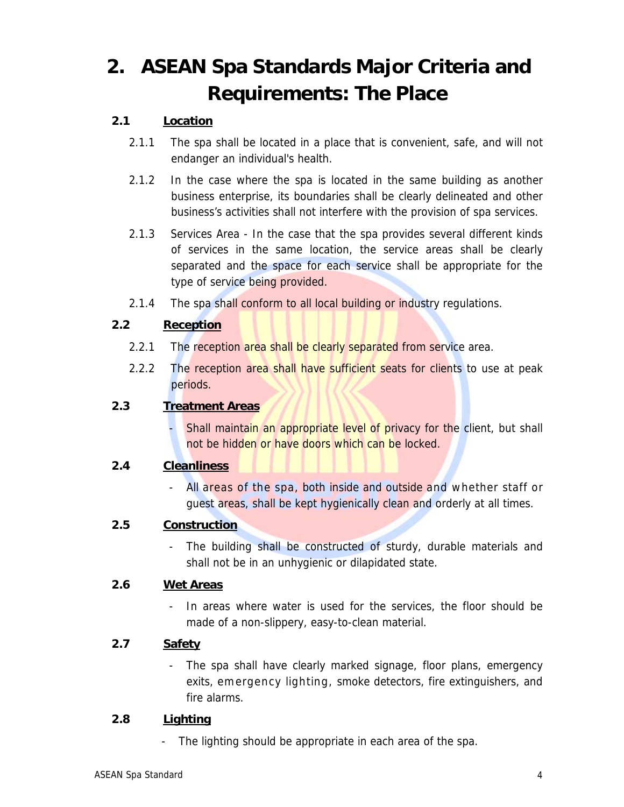# **2. ASEAN Spa Standards Major Criteria and Requirements: The Place**

### **2.1 Location**

- 2.1.1 The spa shall be located in a place that is convenient, safe, and will not endanger an individual's health.
- 2.1.2 In the case where the spa is located in the same building as another business enterprise, its boundaries shall be clearly delineated and other business's activities shall not interfere with the provision of spa services.
- 2.1.3 Services Area In the case that the spa provides several different kinds of services in the same location, the service areas shall be clearly separated and the space for each service shall be appropriate for the type of service being provided.
- 2.1.4 The spa shall conform to all local building or industry regulations.

#### **2.2 Reception**

- 2.2.1 The reception area shall be clearly separated from service area.
- 2.2.2 The reception area shall have sufficient seats for clients to use at peak periods.

#### **2.3 Treatment Areas**

Shall maintain an appropriate level of privacy for the client, but shall not be hidden or have doors which can be locked.

#### **2.4 Cleanliness**

All areas of the spa, both inside and outside and whether staff or guest areas, shall be kept hygienically clean and orderly at all times.

#### **2.5 Construction**

The building shall be constructed of sturdy, durable materials and shall not be in an unhygienic or dilapidated state.

#### **2.6 Wet Areas**

- In areas where water is used for the services, the floor should be made of a non-slippery, easy-to-clean material.

#### **2.7 Safety**

- The spa shall have clearly marked signage, floor plans, emergency exits, emergency lighting, smoke detectors, fire extinguishers, and fire alarms.

#### **2.8 Lighting**

The lighting should be appropriate in each area of the spa.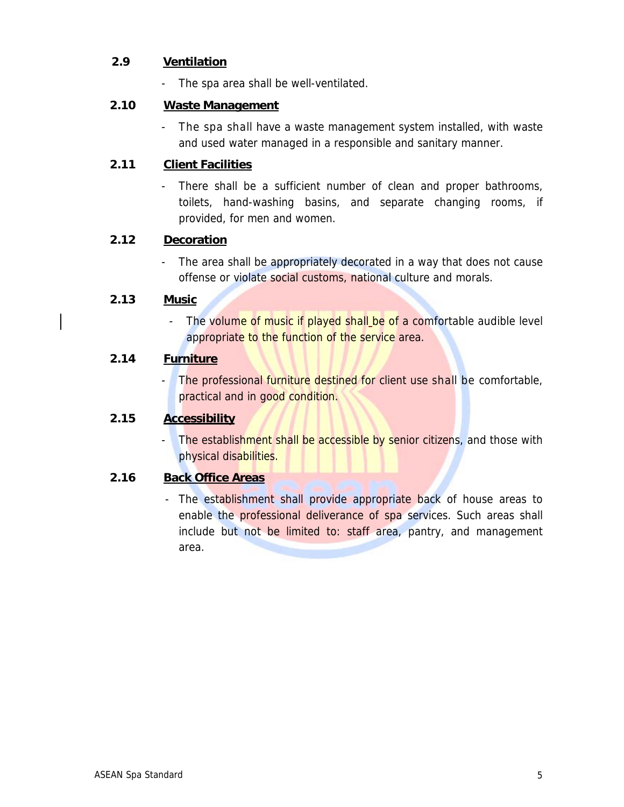#### **2.9 Ventilation**

- The spa area shall be well-ventilated.

#### **2.10 Waste Management**

- The spa shall have a waste management system installed, with waste and used water managed in a responsible and sanitary manner.

#### **2.11 Client Facilities**

- There shall be a sufficient number of clean and proper bathrooms, toilets, hand-washing basins, and separate changing rooms, if provided, for men and women.

#### **2.12 Decoration**

- The area shall be appropriately decorated in a way that does not cause offense or violate social customs, national culture and morals.

#### **2.13 Music**

- The volume of music if played shall be of a comfortable audible level appropriate to the function of the service area.

#### **2.14 Furniture**

- The professional furniture destined for client use shall be comfortable, practical and in good condition.

#### **2.15 Accessibility**

The establishment shall be accessible by senior citizens, and those with physical disabilities.

#### **2.16 Back Office Areas**

- The establishment shall provide appropriate back of house areas to enable the professional deliverance of spa services. Such areas shall include but not be limited to: staff area, pantry, and management area.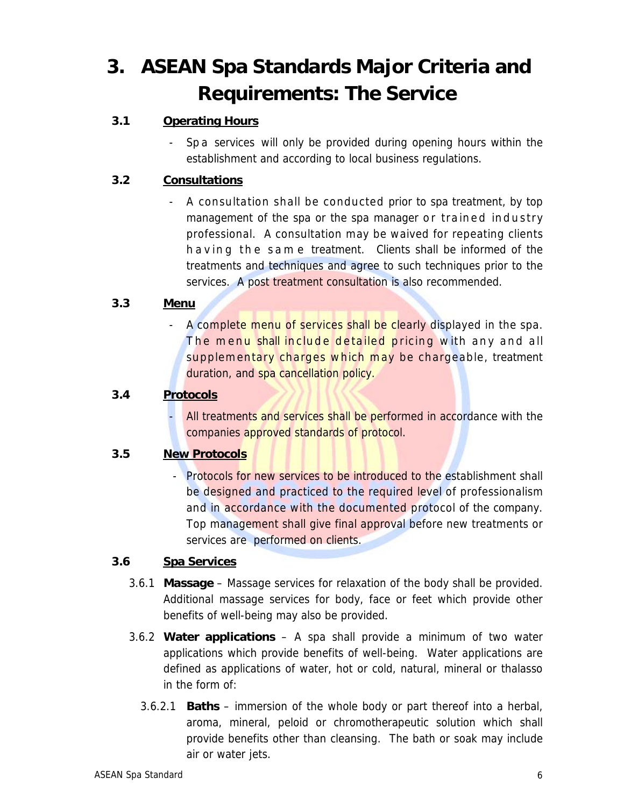# **3. ASEAN Spa Standards Major Criteria and Requirements: The Service**

### **3.1 Operating Hours**

Sp a services will only be provided during opening hours within the establishment and according to local business regulations.

### **3.2 Consultations**

- A consultation shall be conducted prior to spa treatment, by top management of the spa or the spa manager or trained industry professional. A consultation may be waived for repeating clients h a v in g the same treatment. Clients shall be informed of the treatments and techniques and agree to such techniques prior to the services. A post treatment consultation is also recommended.

#### **3.3 Menu**

- A complete menu of services shall be clearly displayed in the spa. The menu shall include detailed pricing with any and all supplementary charges which may be chargeable, treatment duration, and spa cancellation policy.

#### **3.4 Protocols**

All treatments and services shall be performed in accordance with the companies approved standards of protocol.

#### **3.5 New Protocols**

- Protocols for new services to be introduced to the establishment shall be designed and practiced to the required level of professionalism and in accordance with the documented protocol of the company. Top management shall give final approval before new treatments or services are performed on clients.

#### **3.6 Spa Services**

- 3.6.1 **Massage**  Massage services for relaxation of the body shall be provided. Additional massage services for body, face or feet which provide other benefits of well-being may also be provided.
- 3.6.2 **Water applications**  A spa shall provide a minimum of two water applications which provide benefits of well-being. Water applications are defined as applications of water, hot or cold, natural, mineral or thalasso in the form of:
	- 3.6.2.1 **Baths**  immersion of the whole body or part thereof into a herbal, aroma, mineral, peloid or chromotherapeutic solution which shall provide benefits other than cleansing. The bath or soak may include air or water jets.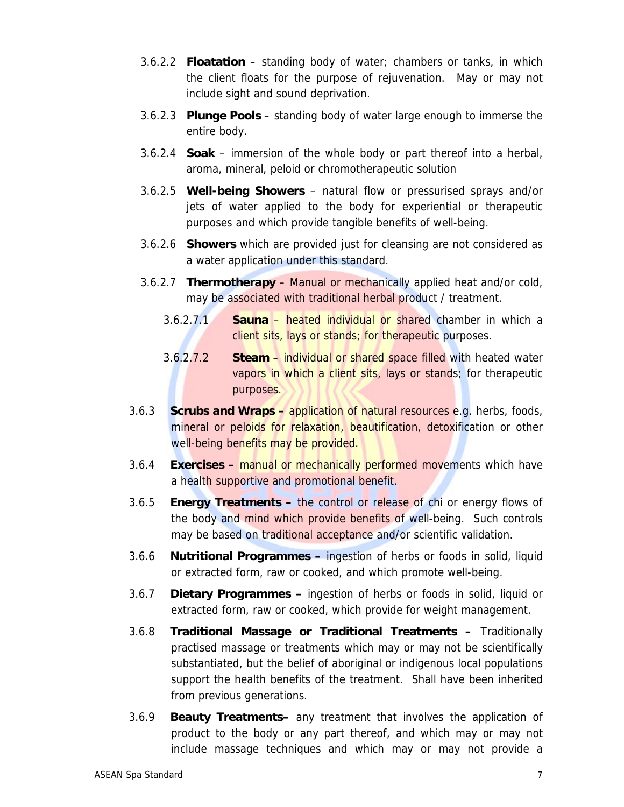- 3.6.2.2 **Floatation** standing body of water; chambers or tanks, in which the client floats for the purpose of rejuvenation. May or may not include sight and sound deprivation.
- 3.6.2.3 **Plunge Pools**  standing body of water large enough to immerse the entire body.
- 3.6.2.4 **Soak**  immersion of the whole body or part thereof into a herbal, aroma, mineral, peloid or chromotherapeutic solution
- 3.6.2.5 **Well-being Showers**  natural flow or pressurised sprays and/or jets of water applied to the body for experiential or therapeutic purposes and which provide tangible benefits of well-being.
- 3.6.2.6 **Showers** which are provided just for cleansing are not considered as a water application under this standard.
- 3.6.2.7 **Thermotherapy**  Manual or mechanically applied heat and/or cold, may be associated with traditional herbal product / treatment.
	- 3.6.2.7.1 **Sauna**  heated individual or shared chamber in which a client sits, lays or stands; for therapeutic purposes.
	- 3.6.2.7.2 **Steam**  individual or shared space filled with heated water vapors in which a client sits, lays or stands; for therapeutic purposes.
- 3.6.3 **Scrubs and Wraps** application of natural resources e.g. herbs, foods, mineral or peloids for relaxation, beautification, detoxification or other well-being benefits may be provided.
- 3.6.4 **Exercises** manual or mechanically performed movements which have a health supportive and promotional benefit.
- 3.6.5 **Energy Treatments** the control or release of chi or energy flows of the body and mind which provide benefits of well-being. Such controls may be based on traditional acceptance and/or scientific validation.
- 3.6.6 **Nutritional Programmes** ingestion of herbs or foods in solid, liquid or extracted form, raw or cooked, and which promote well-being.
- 3.6.7 **Dietary Programmes** ingestion of herbs or foods in solid, liquid or extracted form, raw or cooked, which provide for weight management.
- 3.6.8 **Traditional Massage or Traditional Treatments** Traditionally practised massage or treatments which may or may not be scientifically substantiated, but the belief of aboriginal or indigenous local populations support the health benefits of the treatment. Shall have been inherited from previous generations.
- 3.6.9 **Beauty Treatments–** any treatment that involves the application of product to the body or any part thereof, and which may or may not include massage techniques and which may or may not provide a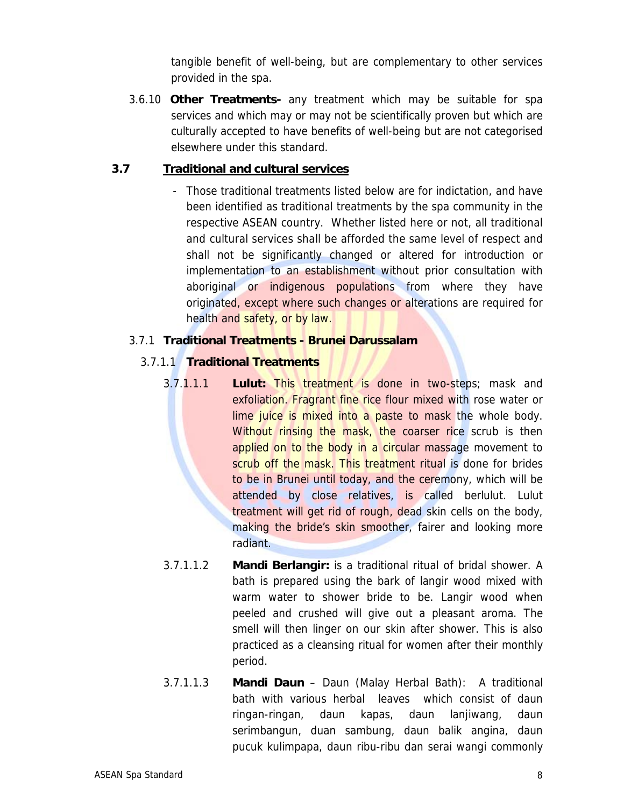tangible benefit of well-being, but are complementary to other services provided in the spa.

3.6.10 **Other Treatments-** any treatment which may be suitable for spa services and which may or may not be scientifically proven but which are culturally accepted to have benefits of well-being but are not categorised elsewhere under this standard.

#### **3.7 Traditional and cultural services**

- Those traditional treatments listed below are for indictation, and have been identified as traditional treatments by the spa community in the respective ASEAN country. Whether listed here or not, all traditional and cultural services shall be afforded the same level of respect and shall not be significantly changed or altered for introduction or implementation to an establishment without prior consultation with aboriginal or indigenous populations from where they have originated, except where such changes or alterations are required for health and safety, or by law.

#### 3.7.1 **Traditional Treatments - Brunei Darussalam**

#### 3.7.1.1 **Traditional Treatments**

- 3.7.1.1.1 **Lulut:** This treatment is done in two-steps; mask and exfoliation. Fragrant fine rice flour mixed with rose water or lime juice is mixed into a paste to mask the whole body. Without rinsing the mask, the coarser rice scrub is then applied on to the body in a circular massage movement to scrub off the mask. This treatment ritual is done for brides to be in Brunei until today, and the ceremony, which will be attended by close relatives, is called berlulut. Lulut treatment will get rid of rough, dead skin cells on the body, making the bride's skin smoother, fairer and looking more radiant.
- 3.7.1.1.2 **Mandi Berlangir:** is a traditional ritual of bridal shower. A bath is prepared using the bark of langir wood mixed with warm water to shower bride to be. Langir wood when peeled and crushed will give out a pleasant aroma. The smell will then linger on our skin after shower. This is also practiced as a cleansing ritual for women after their monthly period.
- 3.7.1.1.3 **Mandi Daun**  Daun (Malay Herbal Bath): A traditional bath with various herbal leaves which consist of daun ringan-ringan, daun kapas, daun lanjiwang, daun serimbangun, duan sambung, daun balik angina, daun pucuk kulimpapa, daun ribu-ribu dan serai wangi commonly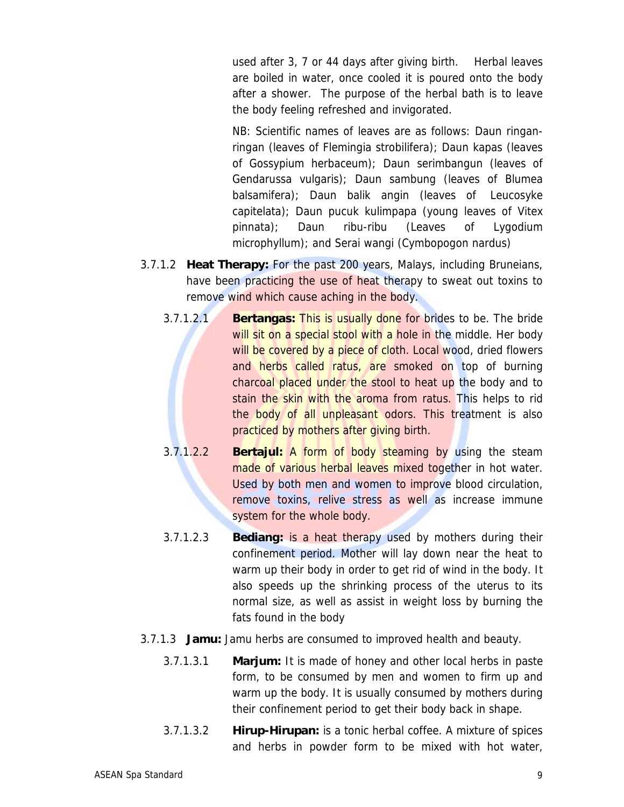used after 3, 7 or 44 days after giving birth. Herbal leaves are boiled in water, once cooled it is poured onto the body after a shower. The purpose of the herbal bath is to leave the body feeling refreshed and invigorated.

NB: Scientific names of leaves are as follows: Daun ringanringan (leaves of Flemingia strobilifera); Daun kapas (leaves of Gossypium herbaceum); Daun serimbangun (leaves of Gendarussa vulgaris); Daun sambung (leaves of Blumea balsamifera); Daun balik angin (leaves of Leucosyke capitelata); Daun pucuk kulimpapa (young leaves of Vitex pinnata); Daun ribu-ribu (Leaves of Lygodium microphyllum); and Serai wangi (Cymbopogon nardus)

- 3.7.1.2 **Heat Therapy:** For the past 200 years, Malays, including Bruneians, have been practicing the use of heat therapy to sweat out toxins to remove wind which cause aching in the body.
	- 3.7.1.2.1 **Bertangas:** This is usually done for brides to be. The bride will sit on a special stool with a hole in the middle. Her body will be covered by a piece of cloth. Local wood, dried flowers and herbs called ratus, are smoked on top of burning charcoal placed under the stool to heat up the body and to stain the skin with the aroma from ratus. This helps to rid the body of all unpleasant odors. This treatment is also practiced by mothers after giving birth.
	- 3.7.1.2.2 **Bertajul:** A form of body steaming by using the steam made of various herbal leaves mixed together in hot water. Used by both men and women to improve blood circulation, remove toxins, relive stress as well as increase immune system for the whole body.
	- 3.7.1.2.3 **Bediang:** is a heat therapy used by mothers during their confinement period. Mother will lay down near the heat to warm up their body in order to get rid of wind in the body. It also speeds up the shrinking process of the uterus to its normal size, as well as assist in weight loss by burning the fats found in the body
- 3.7.1.3 **Jamu:** Jamu herbs are consumed to improved health and beauty.
	- 3.7.1.3.1 **Marjum:** It is made of honey and other local herbs in paste form, to be consumed by men and women to firm up and warm up the body. It is usually consumed by mothers during their confinement period to get their body back in shape.
	- 3.7.1.3.2 **Hirup-Hirupan:** is a tonic herbal coffee. A mixture of spices and herbs in powder form to be mixed with hot water,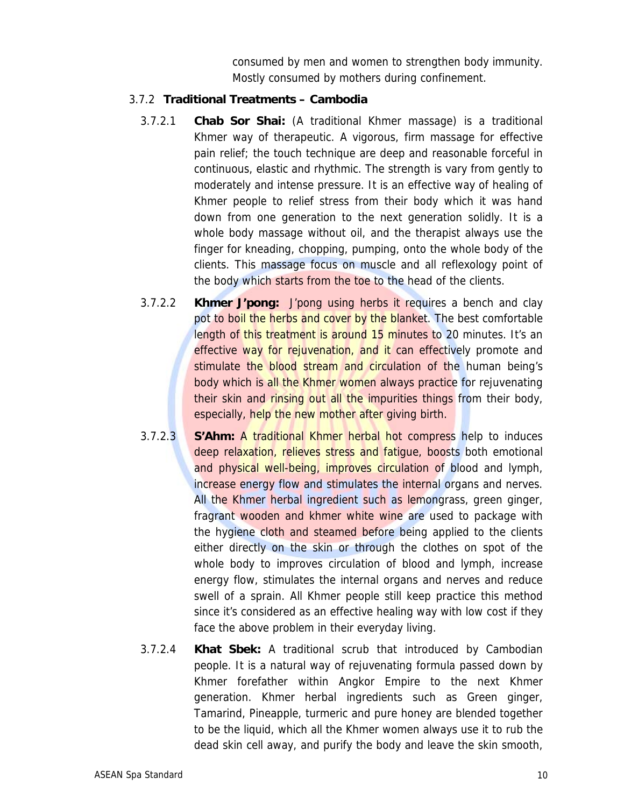consumed by men and women to strengthen body immunity. Mostly consumed by mothers during confinement.

#### 3.7.2 **Traditional Treatments – Cambodia**

- 3.7.2.1 **Chab Sor Shai:** (A traditional Khmer massage) is a traditional Khmer way of therapeutic. A vigorous, firm massage for effective pain relief; the touch technique are deep and reasonable forceful in continuous, elastic and rhythmic. The strength is vary from gently to moderately and intense pressure. It is an effective way of healing of Khmer people to relief stress from their body which it was hand down from one generation to the next generation solidly. It is a whole body massage without oil, and the therapist always use the finger for kneading, chopping, pumping, onto the whole body of the clients. This massage focus on muscle and all reflexology point of the body which starts from the toe to the head of the clients.
- 3.7.2.2 **Khmer J'pong:** J'pong using herbs it requires a bench and clay pot to boil the herbs and cover by the blanket. The best comfortable length of this treatment is around 15 minutes to 20 minutes. It's an effective way for rejuvenation, and it can effectively promote and stimulate the blood stream and circulation of the human being's body which is all the Khmer women always practice for rejuvenating their skin and rinsing out all the impurities things from their body, especially, help the new mother after giving birth.
- 3.7.2.3 **S'Ahm:** A traditional Khmer herbal hot compress help to induces deep relaxation, relieves stress and fatigue, boosts both emotional and physical well-being, improves circulation of blood and lymph, increase energy flow and stimulates the internal organs and nerves. All the Khmer herbal ingredient such as lemongrass, green ginger, fragrant wooden and khmer white wine are used to package with the hygiene cloth and steamed before being applied to the clients either directly on the skin or through the clothes on spot of the whole body to improves circulation of blood and lymph, increase energy flow, stimulates the internal organs and nerves and reduce swell of a sprain. All Khmer people still keep practice this method since it's considered as an effective healing way with low cost if they face the above problem in their everyday living.
- 3.7.2.4 **Khat Sbek:** A traditional scrub that introduced by Cambodian people. It is a natural way of rejuvenating formula passed down by Khmer forefather within Angkor Empire to the next Khmer generation. Khmer herbal ingredients such as Green ginger, Tamarind, Pineapple, turmeric and pure honey are blended together to be the liquid, which all the Khmer women always use it to rub the dead skin cell away, and purify the body and leave the skin smooth,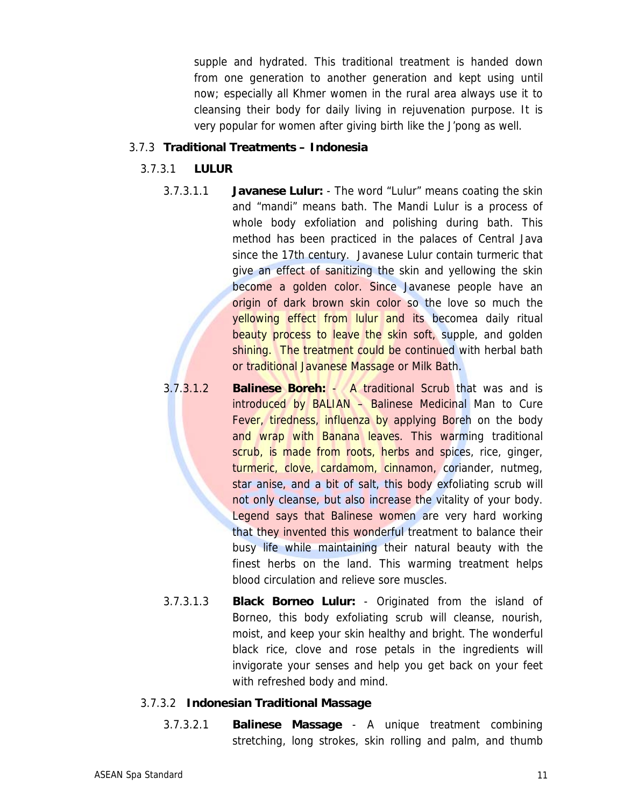supple and hydrated. This traditional treatment is handed down from one generation to another generation and kept using until now; especially all Khmer women in the rural area always use it to cleansing their body for daily living in rejuvenation purpose. It is very popular for women after giving birth like the J'pong as well.

#### 3.7.3 **Traditional Treatments – Indonesia**

- 3.7.3.1 **LULUR** 
	- 3.7.3.1.1 **Javanese Lulur:**  The word "Lulur" means coating the skin and "mandi" means bath. The Mandi Lulur is a process of whole body exfoliation and polishing during bath. This method has been practiced in the palaces of Central Java since the 17th century. Javanese Lulur contain turmeric that give an effect of sanitizing the skin and yellowing the skin become a golden color. Since Javanese people have an origin of dark brown skin color so the love so much the yellowing effect from lulur and its becomea daily ritual beauty process to leave the skin soft, supple, and golden shining. The treatment could be continued with herbal bath or traditional Javanese Massage or Milk Bath.
	- 3.7.3.1.2 **Balinese Boreh:**  A traditional Scrub that was and is introduced by BALIAN – Balinese Medicinal Man to Cure Fever, tiredness, influenza by applying Boreh on the body and wrap with Banana leaves. This warming traditional scrub, is made from roots, herbs and spices, rice, ginger, turmeric, clove, cardamom, cinnamon, coriander, nutmeg, star anise, and a bit of salt, this body exfoliating scrub will not only cleanse, but also increase the vitality of your body. Legend says that Balinese women are very hard working that they invented this wonderful treatment to balance their busy life while maintaining their natural beauty with the finest herbs on the land. This warming treatment helps blood circulation and relieve sore muscles.
	- 3.7.3.1.3 **Black Borneo Lulur:**  Originated from the island of Borneo, this body exfoliating scrub will cleanse, nourish, moist, and keep your skin healthy and bright. The wonderful black rice, clove and rose petals in the ingredients will invigorate your senses and help you get back on your feet with refreshed body and mind.

#### 3.7.3.2 **Indonesian Traditional Massage**

3.7.3.2.1 **Balinese Massage** - A unique treatment combining stretching, long strokes, skin rolling and palm, and thumb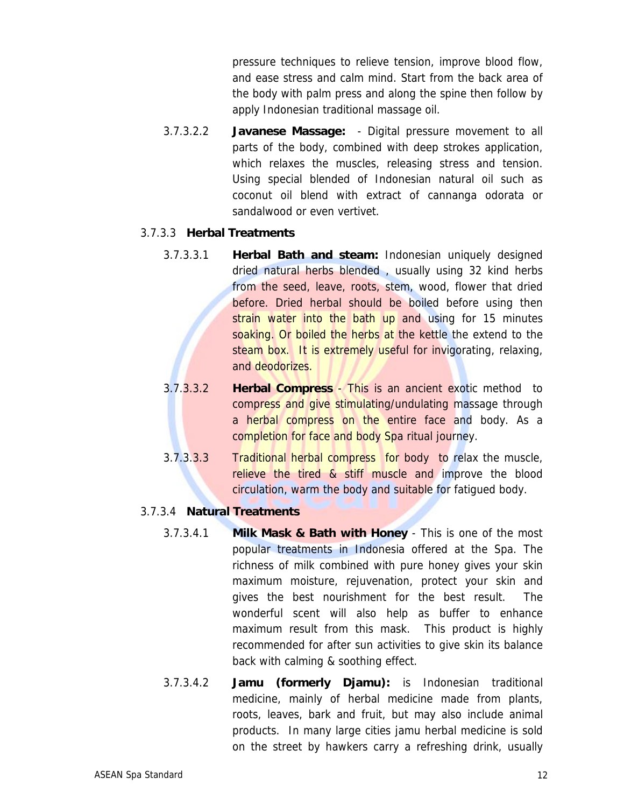pressure techniques to relieve tension, improve blood flow, and ease stress and calm mind. Start from the back area of the body with palm press and along the spine then follow by apply Indonesian traditional massage oil.

3.7.3.2.2 **Javanese Massage:** - Digital pressure movement to all parts of the body, combined with deep strokes application, which relaxes the muscles, releasing stress and tension. Using special blended of Indonesian natural oil such as coconut oil blend with extract of cannanga odorata or sandalwood or even vertivet.

#### 3.7.3.3 **Herbal Treatments**

- 3.7.3.3.1 **Herbal Bath and steam:** Indonesian uniquely designed dried natural herbs blended , usually using 32 kind herbs from the seed, leave, roots, stem, wood, flower that dried before. Dried herbal should be boiled before using then strain water into the bath up and using for 15 minutes soaking. Or boiled the herbs at the kettle the extend to the steam box. It is extremely useful for invigorating, relaxing, and deodorizes.
- 3.7.3.3.2 **Herbal Compress**  This is an ancient exotic method to compress and give stimulating/undulating massage through a herbal compress on the entire face and body. As a completion for face and body Spa ritual journey.
- 3.7.3.3.3 Traditional herbal compress for body to relax the muscle, relieve the tired & stiff muscle and improve the blood circulation, warm the body and suitable for fatigued body.

#### 3.7.3.4 **Natural Treatments**

- 3.7.3.4.1 **Milk Mask & Bath with Honey** This is one of the most popular treatments in Indonesia offered at the Spa. The richness of milk combined with pure honey gives your skin maximum moisture, rejuvenation, protect your skin and gives the best nourishment for the best result. The wonderful scent will also help as buffer to enhance maximum result from this mask. This product is highly recommended for after sun activities to give skin its balance back with calming & soothing effect.
- 3.7.3.4.2 **Jamu (formerly Djamu):** is Indonesian traditional medicine, mainly of herbal medicine made from plants, roots, leaves, bark and fruit, but may also include animal products. In many large cities jamu herbal medicine is sold on the street by hawkers carry a refreshing drink, usually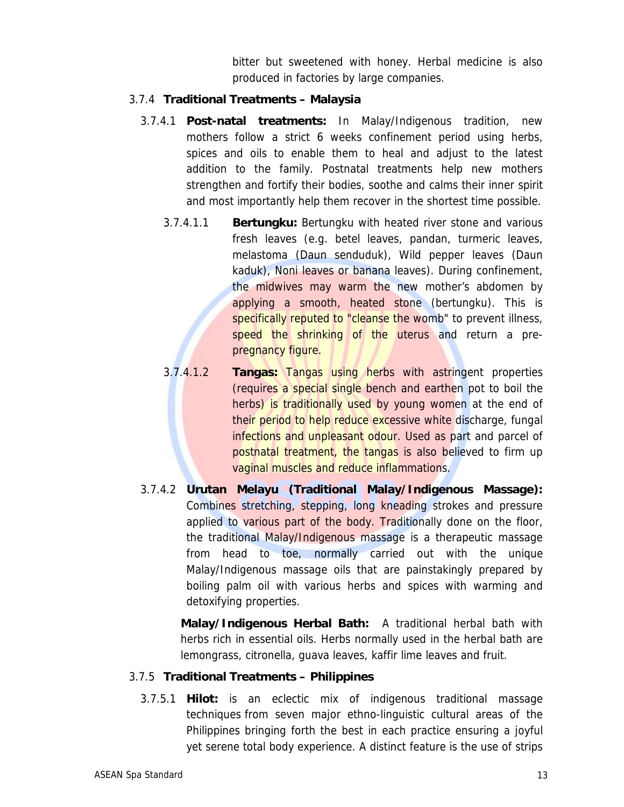bitter but sweetened with honey. Herbal medicine is also produced in factories by large companies.

#### 3.7.4 **Traditional Treatments – Malaysia**

- 3.7.4.1 **Post-natal treatments:** In Malay/Indigenous tradition, new mothers follow a strict 6 weeks confinement period using herbs, spices and oils to enable them to heal and adjust to the latest addition to the family. Postnatal treatments help new mothers strengthen and fortify their bodies, soothe and calms their inner spirit and most importantly help them recover in the shortest time possible.
	- 3.7.4.1.1 **Bertungku:** Bertungku with heated river stone and various fresh leaves (e.g. betel leaves, pandan, turmeric leaves, melastoma (Daun senduduk), Wild pepper leaves (Daun kaduk), Noni leaves or banana leaves). During confinement, the midwives may warm the new mother's abdomen by applying a smooth, heated stone (bertungku). This is specifically reputed to "cleanse the womb" to prevent illness, speed the shrinking of the uterus and return a prepregnancy figure.
	- 3.7.4.1.2 **Tangas:** Tangas using herbs with astringent properties (requires a special single bench and earthen pot to boil the herbs) is traditionally used by young women at the end of their period to help reduce excessive white discharge, fungal infections and unpleasant odour. Used as part and parcel of postnatal treatment, the tangas is also believed to firm up vaginal muscles and reduce inflammations.
- 3.7.4.2 **Urutan Melayu (Traditional Malay/Indigenous Massage):**  Combines stretching, stepping, long kneading strokes and pressure applied to various part of the body. Traditionally done on the floor, the traditional Malay/Indigenous massage is a therapeutic massage from head to toe, normally carried out with the unique Malay/Indigenous massage oils that are painstakingly prepared by boiling palm oil with various herbs and spices with warming and detoxifying properties.

**Malay/Indigenous Herbal Bath:** A traditional herbal bath with herbs rich in essential oils. Herbs normally used in the herbal bath are lemongrass, citronella, guava leaves, kaffir lime leaves and fruit.

#### 3.7.5 **Traditional Treatments – Philippines**

3.7.5.1 **Hilot:** is an eclectic mix of indigenous traditional massage techniques from seven major ethno-linguistic cultural areas of the Philippines bringing forth the best in each practice ensuring a joyful yet serene total body experience. A distinct feature is the use of strips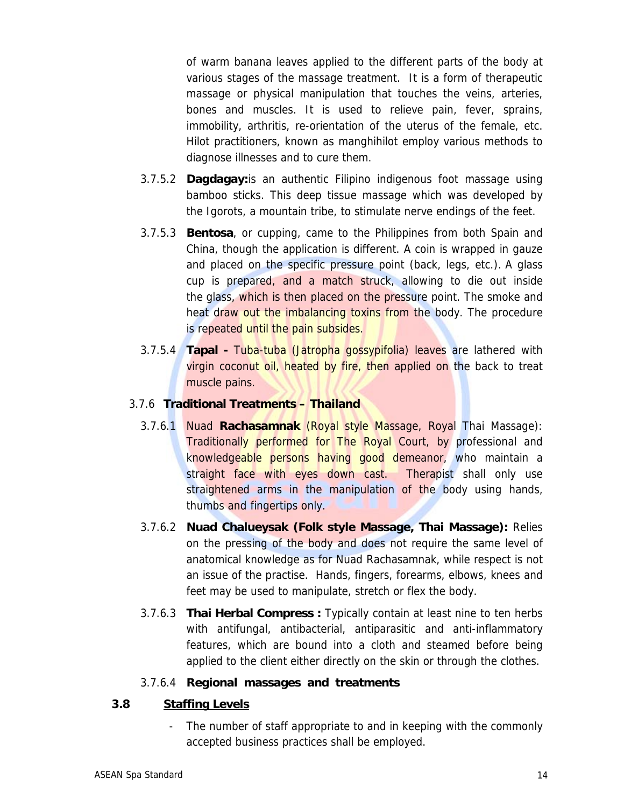of warm banana leaves applied to the different parts of the body at various stages of the massage treatment. It is a form of therapeutic massage or physical manipulation that touches the veins, arteries, bones and muscles. It is used to relieve pain, fever, sprains, immobility, arthritis, re-orientation of the uterus of the female, etc. Hilot practitioners, known as manghihilot employ various methods to diagnose illnesses and to cure them.

- 3.7.5.2 **Dagdagay:**is an authentic Filipino indigenous foot massage using bamboo sticks. This deep tissue massage which was developed by the Igorots, a mountain tribe, to stimulate nerve endings of the feet.
- 3.7.5.3 **Bentosa**, or cupping, came to the Philippines from both Spain and China, though the application is different. A coin is wrapped in gauze and placed on the specific pressure point (back, legs, etc.). A glass cup is prepared, and a match struck, allowing to die out inside the glass, which is then placed on the pressure point. The smoke and heat draw out the imbalancing toxins from the body. The procedure is repeated until the pain subsides.
- 3.7.5.4 **Tapal** Tuba-tuba (Jatropha gossypifolia) leaves are lathered with virgin coconut oil, heated by fire, then applied on the back to treat muscle pains.

#### 3.7.6 **Traditional Treatments – Thailand**

- 3.7.6.1 Nuad **Rachasamnak** (Royal style Massage, Royal Thai Massage): Traditionally performed for The Royal Court, by professional and knowledgeable persons having good demeanor, who maintain a straight face with eyes down cast. Therapist shall only use straightened arms in the manipulation of the body using hands, thumbs and fingertips only.
- 3.7.6.2 **Nuad Chalueysak (Folk style Massage, Thai Massage):** Relies on the pressing of the body and does not require the same level of anatomical knowledge as for Nuad Rachasamnak, while respect is not an issue of the practise. Hands, fingers, forearms, elbows, knees and feet may be used to manipulate, stretch or flex the body.
- 3.7.6.3 **Thai Herbal Compress :** Typically contain at least nine to ten herbs with antifungal, antibacterial, antiparasitic and anti-inflammatory features, which are bound into a cloth and steamed before being applied to the client either directly on the skin or through the clothes.

#### 3.7.6.4 **Regional massages and treatments**

#### **3.8 Staffing Levels**

- The number of staff appropriate to and in keeping with the commonly accepted business practices shall be employed.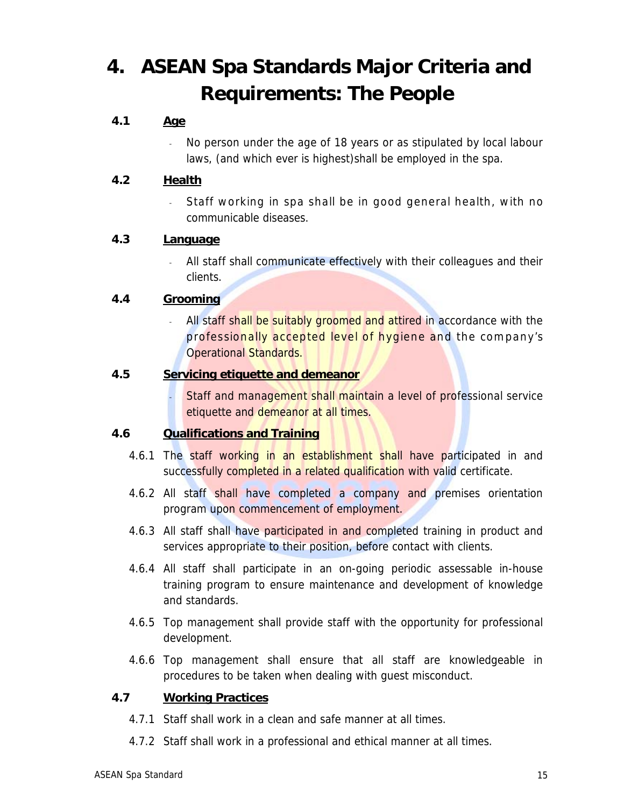# **4. ASEAN Spa Standards Major Criteria and Requirements: The People**

#### **4.1 Age**

- No person under the age of 18 years or as stipulated by local labour laws, (and which ever is highest)shall be employed in the spa.

#### **4.2 Health**

Staff working in spa shall be in good general health, with no communicable diseases.

#### **4.3 Language**

- All staff shall communicate effectively with their colleagues and their clients.

#### **4.4 Grooming**

All staff shall be suitably groomed and attired in accordance with the professionally accepted level of hygiene and the company's Operational Standards.

#### **4.5 Servicing etiquette and demeanor**

Staff and management shall maintain a level of professional service etiquette and demeanor at all times.

#### **4.6 Qualifications and Training**

- 4.6.1 The staff working in an establishment shall have participated in and successfully completed in a related qualification with valid certificate.
- 4.6.2 All staff shall have completed a company and premises orientation program upon commencement of employment.
- 4.6.3 All staff shall have participated in and completed training in product and services appropriate to their position, before contact with clients.
- 4.6.4 All staff shall participate in an on-going periodic assessable in-house training program to ensure maintenance and development of knowledge and standards.
- 4.6.5 Top management shall provide staff with the opportunity for professional development.
- 4.6.6 Top management shall ensure that all staff are knowledgeable in procedures to be taken when dealing with guest misconduct.

#### **4.7 Working Practices**

- 4.7.1 Staff shall work in a clean and safe manner at all times.
- 4.7.2 Staff shall work in a professional and ethical manner at all times.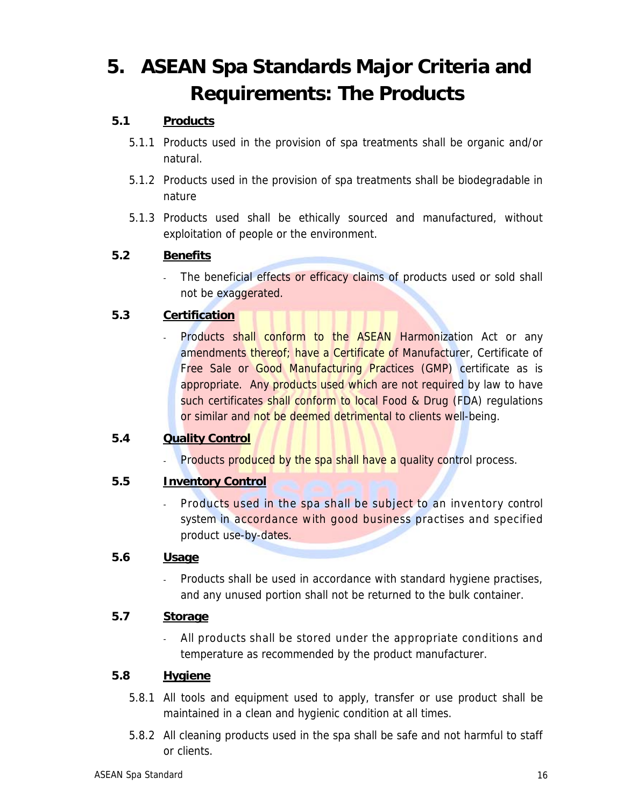# **5. ASEAN Spa Standards Major Criteria and Requirements: The Products**

### **5.1 Products**

- 5.1.1 Products used in the provision of spa treatments shall be organic and/or natural.
- 5.1.2 Products used in the provision of spa treatments shall be biodegradable in nature
- 5.1.3 Products used shall be ethically sourced and manufactured, without exploitation of people or the environment.

#### **5.2 Benefits**

The beneficial effects or efficacy claims of products used or sold shall not be exaggerated.

#### **5.3 Certification**

**-** Products shall conform to the ASEAN Harmonization Act or any amendments thereof; have a Certificate of Manufacturer, Certificate of Free Sale or Good Manufacturing Practices (GMP) certificate as is appropriate. Any products used which are not required by law to have such certificates shall conform to local Food & Drug (FDA) regulations or similar and not be deemed detrimental to clients well-being.

#### **5.4 Quality Control**

**-** Products produced by the spa shall have a quality control process.

#### **5.5 Inventory Control**

**-** Products used in the spa shall be subject to an inventory control system in accordance with good business practises and specified product use-by-dates.

#### **5.6 Usage**

**-** Products shall be used in accordance with standard hygiene practises, and any unused portion shall not be returned to the bulk container.

#### **5.7 Storage**

**-** All products shall be stored under the appropriate conditions and temperature as recommended by the product manufacturer.

#### **5.8 Hygiene**

- 5.8.1 All tools and equipment used to apply, transfer or use product shall be maintained in a clean and hygienic condition at all times.
- 5.8.2 All cleaning products used in the spa shall be safe and not harmful to staff or clients.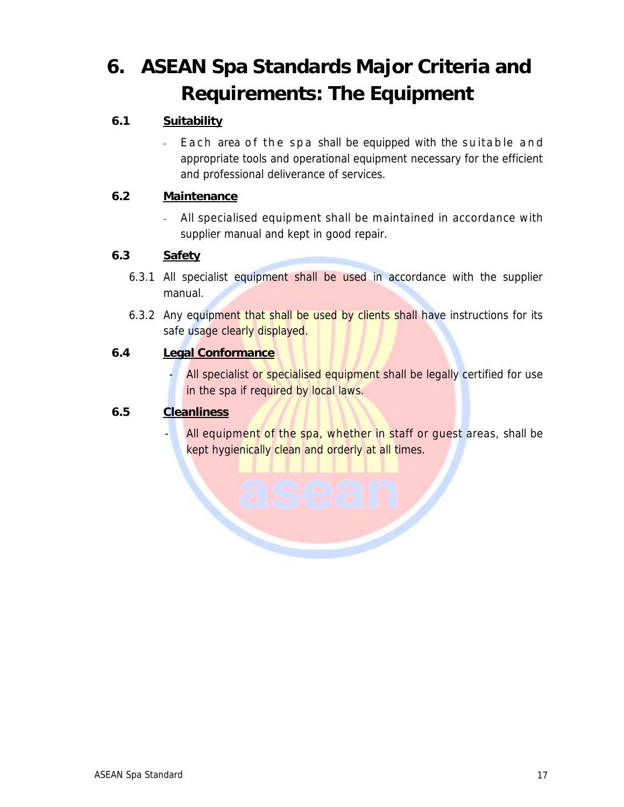# **6. ASEAN Spa Standards Major Criteria and Requirements: The Equipment**

### **6.1 Suitability**

Each area of the spa shall be equipped with the suitable and appropriate tools and operational equipment necessary for the efficient and professional deliverance of services.

#### **6.2 Maintenance**

**-** All specialised equipment shall be maintained in accordance with supplier manual and kept in good repair.

#### **6.3 Safety**

- 6.3.1 All specialist equipment shall be used in accordance with the supplier manual.
- 6.3.2 Any equipment that shall be used by clients shall have instructions for its safe usage clearly displayed.

#### **6.4 Legal Conformance**

All specialist or specialised equipment shall be legally certified for use in the spa if required by local laws.

#### **6.5 Cleanliness**

All equipment of the spa, whether in staff or guest areas, shall be kept hygienically clean and orderly at all times.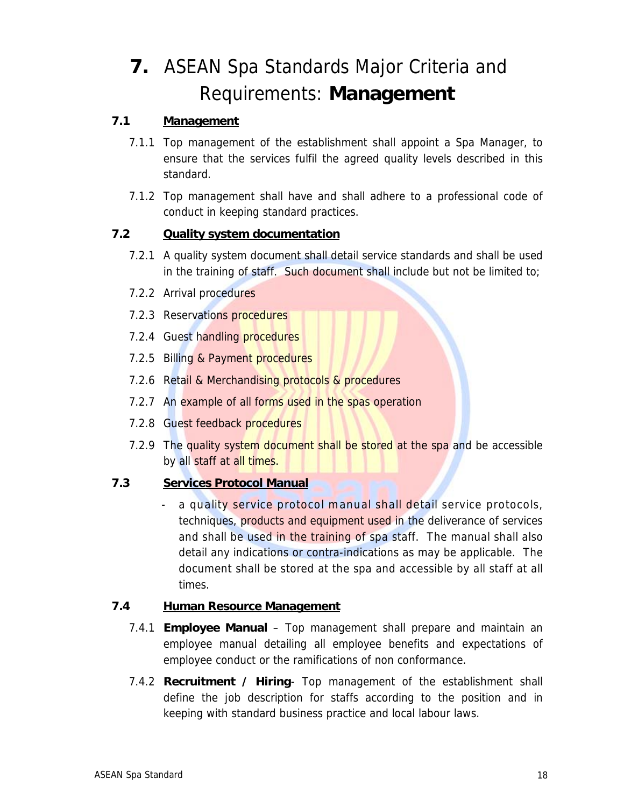# **7.** ASEAN Spa Standards Major Criteria and Requirements: **Management**

### **7.1 Management**

- 7.1.1 Top management of the establishment shall appoint a Spa Manager, to ensure that the services fulfil the agreed quality levels described in this standard.
- 7.1.2 Top management shall have and shall adhere to a professional code of conduct in keeping standard practices.

#### **7.2 Quality system documentation**

- 7.2.1 A quality system document shall detail service standards and shall be used in the training of staff. Such document shall include but not be limited to;
- 7.2.2 Arrival procedures
- 7.2.3 Reservations procedures
- 7.2.4 Guest handling procedures
- 7.2.5 Billing & Payment procedures
- 7.2.6 Retail & Merchandising protocols & procedures
- 7.2.7 An example of all forms used in the spas operation
- 7.2.8 Guest feedback procedures
- 7.2.9 The quality system document shall be stored at the spa and be accessible by all staff at all times.

#### **7.3 Services Protocol Manual**

a quality service protocol manual shall detail service protocols, techniques, products and equipment used in the deliverance of services and shall be used in the training of spa staff. The manual shall also detail any indications or contra-indications as may be applicable. The document shall be stored at the spa and accessible by all staff at all times.

#### **7.4 Human Resource Management**

- 7.4.1 **Employee Manual** Top management shall prepare and maintain an employee manual detailing all employee benefits and expectations of employee conduct or the ramifications of non conformance.
- 7.4.2 **Recruitment / Hiring** Top management of the establishment shall define the job description for staffs according to the position and in keeping with standard business practice and local labour laws.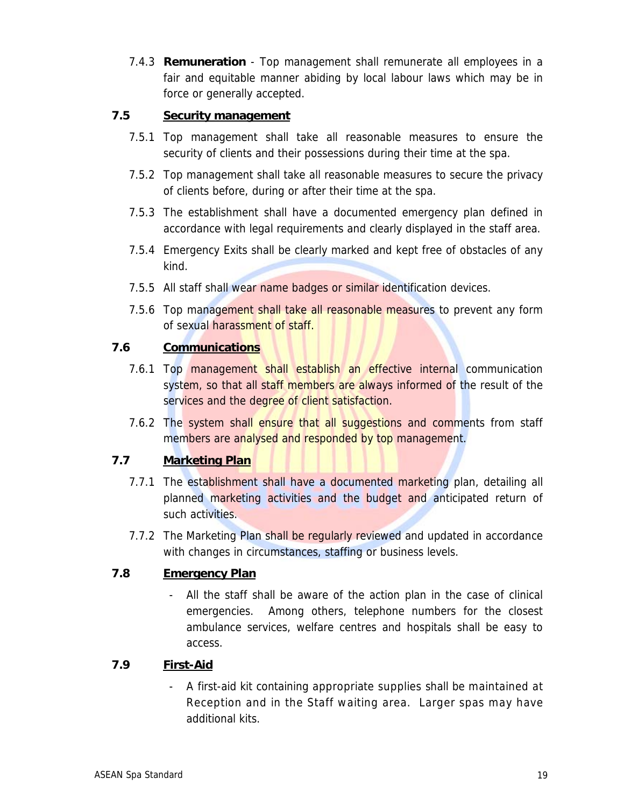7.4.3 **Remuneration** - Top management shall remunerate all employees in a fair and equitable manner abiding by local labour laws which may be in force or generally accepted.

#### **7.5 Security management**

- 7.5.1 Top management shall take all reasonable measures to ensure the security of clients and their possessions during their time at the spa.
- 7.5.2 Top management shall take all reasonable measures to secure the privacy of clients before, during or after their time at the spa.
- 7.5.3 The establishment shall have a documented emergency plan defined in accordance with legal requirements and clearly displayed in the staff area.
- 7.5.4 Emergency Exits shall be clearly marked and kept free of obstacles of any kind.
- 7.5.5 All staff shall wear name badges or similar identification devices.
- 7.5.6 Top management shall take all reasonable measures to prevent any form of sexual harassment of staff.

#### **7.6 Communications**

- 7.6.1 Top management shall establish an effective internal communication system, so that all staff members are always informed of the result of the services and the degree of client satisfaction.
- 7.6.2 The system shall ensure that all suggestions and comments from staff members are analysed and responded by top management.

#### **7.7 Marketing Plan**

- 7.7.1 The establishment shall have a documented marketing plan, detailing all planned marketing activities and the budget and anticipated return of such activities.
- 7.7.2 The Marketing Plan shall be regularly reviewed and updated in accordance with changes in circumstances, staffing or business levels.

#### **7.8 Emergency Plan**

All the staff shall be aware of the action plan in the case of clinical emergencies. Among others, telephone numbers for the closest ambulance services, welfare centres and hospitals shall be easy to access.

#### **7.9 First-Aid**

- A first-aid kit containing appropriate supplies shall be maintained at Reception and in the Staff waiting area. Larger spas may have additional kits.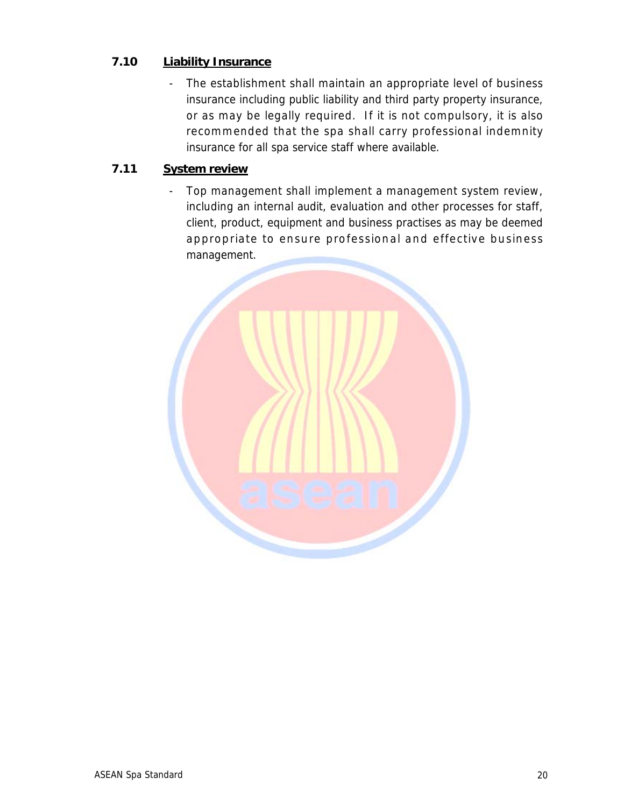#### **7.10 Liability Insurance**

- The establishment shall maintain an appropriate level of business insurance including public liability and third party property insurance, or as may be legally required. If it is not compulsory, it is also recommended that the spa shall carry professional indemnity insurance for all spa service staff where available.

#### **7.11 System review**

- Top management shall implement a management system review, including an internal audit, evaluation and other processes for staff, client, product, equipment and business practises as may be deemed appropriate to ensure professional and effective business management.

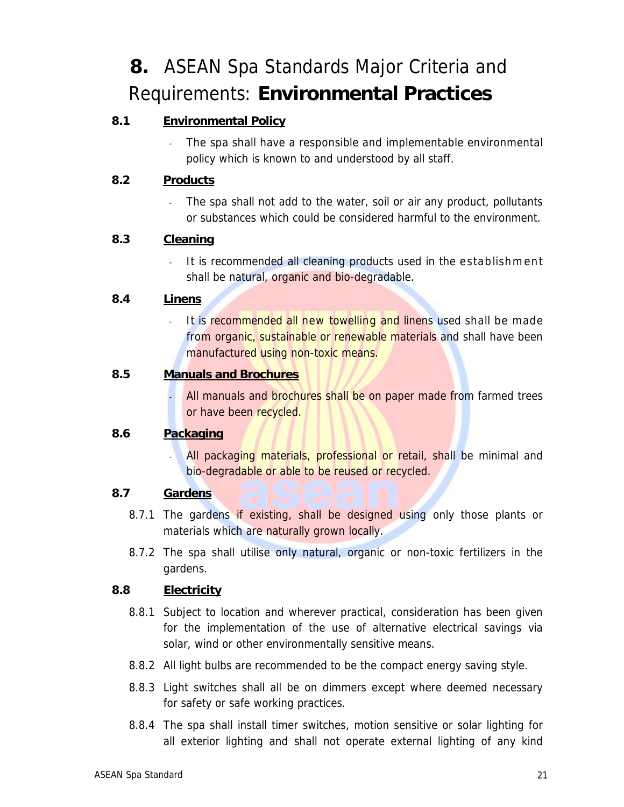## **8.** ASEAN Spa Standards Major Criteria and Requirements: **Environmental Practices**

### **8.1 Environmental Policy**

**-** The spa shall have a responsible and implementable environmental policy which is known to and understood by all staff.

#### **8.2 Products**

**-** The spa shall not add to the water, soil or air any product, pollutants or substances which could be considered harmful to the environment.

#### **8.3 Cleaning**

**-** It is recommended all cleaning products used in the establishm ent shall be natural, organic and bio-degradable.

#### **8.4 Linens**

**-** It is recommended all new towelling and linens used shall be made from organic, sustainable or renewable materials and shall have been manufactured using non-toxic means.

#### **8.5 Manuals and Brochures**

**-** All manuals and brochures shall be on paper made from farmed trees or have been recycled.

#### **8.6 Packaging**

**-** All packaging materials, professional or retail, shall be minimal and bio-degradable or able to be reused or recycled.

#### **8.7 Gardens**

- 8.7.1 The gardens if existing, shall be designed using only those plants or materials which are naturally grown locally.
- 8.7.2 The spa shall utilise only natural, organic or non-toxic fertilizers in the gardens.

#### **8.8 Electricity**

- 8.8.1 Subject to location and wherever practical, consideration has been given for the implementation of the use of alternative electrical savings via solar, wind or other environmentally sensitive means.
- 8.8.2 All light bulbs are recommended to be the compact energy saving style.
- 8.8.3 Light switches shall all be on dimmers except where deemed necessary for safety or safe working practices.
- 8.8.4 The spa shall install timer switches, motion sensitive or solar lighting for all exterior lighting and shall not operate external lighting of any kind